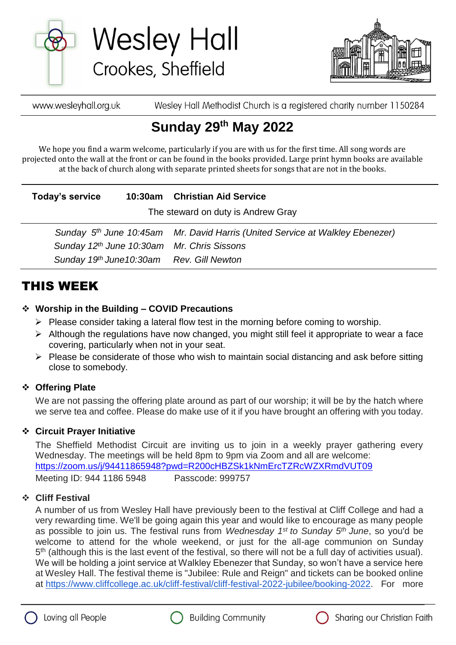

**Wesley Hall** Crookes, Sheffield



Wesley Hall Methodist Church is a registered charity number 1150284 www.wesleyhall.org.uk

# **Sunday 29th May 2022**

We hope you find a warm welcome, particularly if you are with us for the first time. All song words are projected onto the wall at the front or can be found in the books provided. Large print hymn books are available at the back of church along with separate printed sheets for songs that are not in the books.

| Today's service | 10:30am Christian Aid Service |
|-----------------|-------------------------------|
|                 |                               |

The steward on duty is Andrew Gray

 *Sunday 5 Mr. David Harris (United Service at Walkley Ebenezer) Sunday 12th June 10:30am Mr. Chris Sissons Sunday 19 th June10:30am Rev. Gill Newton*

### THIS WEEK

#### **Worship in the Building – COVID Precautions**

- $\triangleright$  Please consider taking a lateral flow test in the morning before coming to worship.
- $\triangleright$  Although the regulations have now changed, you might still feel it appropriate to wear a face covering, particularly when not in your seat.
- $\triangleright$  Please be considerate of those who wish to maintain social distancing and ask before sitting close to somebody.

#### **Offering Plate**

We are not passing the offering plate around as part of our worship; it will be by the hatch where we serve tea and coffee. Please do make use of it if you have brought an offering with you today.

#### **Circuit Prayer Initiative**

The Sheffield Methodist Circuit are inviting us to join in a weekly prayer gathering every Wednesday. The meetings will be held 8pm to 9pm via Zoom and all are welcome: [https://zoom.us/j/94411865948?pwd=R200cHBZSk1kNmErcTZRcWZXRmdVUT09](about:blank) Meeting ID: 944 1186 5948 Passcode: 999757

#### **Cliff Festival**

A number of us from Wesley Hall have previously been to the festival at Cliff College and had a very rewarding time. We'll be going again this year and would like to encourage as many people as possible to join us. The festival runs from *Wednesday 1st to Sunday 5th June*, so you'd be welcome to attend for the whole weekend, or just for the all-age communion on Sunday 5<sup>th</sup> (although this is the last event of the festival, so there will not be a full day of activities usual). We will be holding a joint service at Walkley Ebenezer that Sunday, so won't have a service here at Wesley Hall. The festival theme is "Jubilee: Rule and Reign" and tickets can be booked online at [https://www.cliffcollege.ac.uk/cliff-festival/cliff-festival-2022-jubilee/booking-2022.](https://www.cliffcollege.ac.uk/cliff-festival/cliff-festival-2022-jubilee/booking-2022) For more





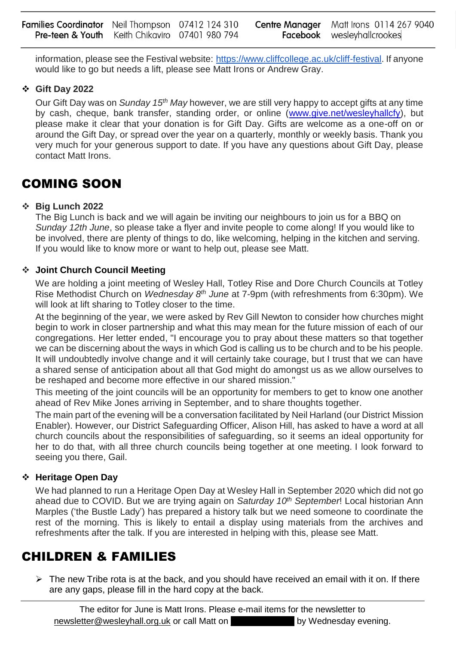information, please see the Festival website: [https://www.cliffcollege.ac.uk/cliff-festival.](https://www.cliffcollege.ac.uk/cliff-festival) If anyone would like to go but needs a lift, please see Matt Irons or Andrew Gray.

#### **Gift Day 2022**

Our Gift Day was on *Sunday 15th May* however, we are still very happy to accept gifts at any time by cash, cheque, bank transfer, standing order, or online [\(www.give.net/wesleyhallcfy\)](about:blank), but please make it clear that your donation is for Gift Day. Gifts are welcome as a one-off on or around the Gift Day, or spread over the year on a quarterly, monthly or weekly basis. Thank you very much for your generous support to date. If you have any questions about Gift Day, please contact Matt Irons.

### COMING SOON

#### **Big Lunch 2022**

The Big Lunch is back and we will again be inviting our neighbours to join us for a BBQ on *Sunday 12th June*, so please take a flyer and invite people to come along! If you would like to be involved, there are plenty of things to do, like welcoming, helping in the kitchen and serving. If you would like to know more or want to help out, please see Matt.

#### **Joint Church Council Meeting**

We are holding a joint meeting of Wesley Hall, Totley Rise and Dore Church Councils at Totley Rise Methodist Church on *Wednesday 8th June* at 7-9pm (with refreshments from 6:30pm). We will look at lift sharing to Totley closer to the time.

At the beginning of the year, we were asked by Rev Gill Newton to consider how churches might begin to work in closer partnership and what this may mean for the future mission of each of our congregations. Her letter ended, "I encourage you to pray about these matters so that together we can be discerning about the ways in which God is calling us to be church and to be his people. It will undoubtedly involve change and it will certainly take courage, but I trust that we can have a shared sense of anticipation about all that God might do amongst us as we allow ourselves to be reshaped and become more effective in our shared mission."

This meeting of the joint councils will be an opportunity for members to get to know one another ahead of Rev Mike Jones arriving in September, and to share thoughts together.

The main part of the evening will be a conversation facilitated by Neil Harland (our District Mission Enabler). However, our District Safeguarding Officer, Alison Hill, has asked to have a word at all church councils about the responsibilities of safeguarding, so it seems an ideal opportunity for her to do that, with all three church councils being together at one meeting. I look forward to seeing you there, Gail.

#### **Heritage Open Day**

We had planned to run a Heritage Open Day at Wesley Hall in September 2020 which did not go ahead due to COVID. But we are trying again on *Saturday 10th September*! Local historian Ann Marples ('the Bustle Lady') has prepared a history talk but we need someone to coordinate the rest of the morning. This is likely to entail a display using materials from the archives and refreshments after the talk. If you are interested in helping with this, please see Matt.

### CHILDREN & FAMILIES

 $\triangleright$  The new Tribe rota is at the back, and you should have received an email with it on. If there are any gaps, please fill in the hard copy at the back.